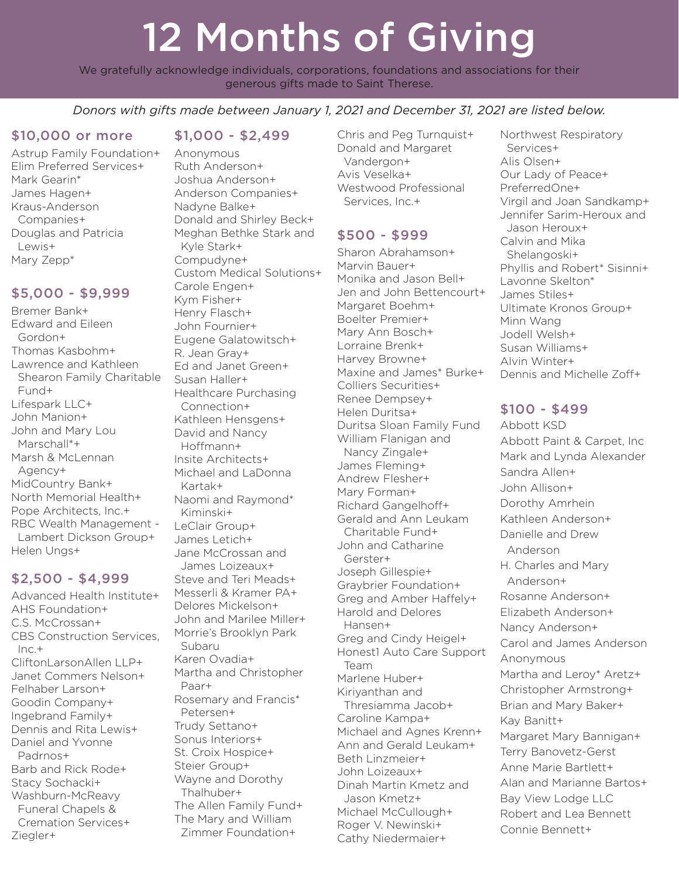# 12 Months of Giving

We gratefully acknowledge individuals, corporations, foundations and associations for their generous gifts made to Saint Therese.

*Donors with gifts made between January 1, 2021 and December 31, 2021 are listed below.* 

#### \$10,000 or more

Astrup Family Foundation+ Elim Preferred Services+ Mark Gearin\* James Hagen+ Kraus-Anderson Companies+ Douglas and Patricia Lewis+ Mary Zepp\*

#### \$5,000 - \$9,999

Bremer Bank+ Edward and Eileen Gordon+ Thomas Kasbohm+ Lawrence and Kathleen Shearon Family Charitable Fund+ Lifespark LLC+ John Manion+ John and Mary Lou Marschall\*+ Marsh & McLennan Agency+ MidCountry Bank+ North Memorial Health+ Pope Architects, Inc.+ RBC Wealth Management - Lambert Dickson Group+ Helen Ungs+

## \$2,500 - \$4,999

Advanced Health Institute+ AHS Foundation+ C.S. McCrossan+ CBS Construction Services,  $Inc.+$ CliftonLarsonAllen LLP+ Janet Commers Nelson+ Felhaber Larson+ Goodin Company+ Ingebrand Family+ Dennis and Rita Lewis+ Daniel and Yvonne Padrnos+ Barb and Rick Rode+ Stacy Sochacki+ Washburn-McReavy Funeral Chapels & Cremation Services+ Ziegler+

#### \$1,000 - \$2,499

Anonymous Ruth Anderson+ Joshua Anderson+ Anderson Companies+ Nadyne Balke+ Donald and Shirley Beck+ Meghan Bethke Stark and Kyle Stark+ Compudyne+ Custom Medical Solutions+ Carole Engen+ Kym Fisher+ Henry Flasch+ John Fournier+ Eugene Galatowitsch+ R. Jean Gray+ Ed and Janet Green+ Susan Haller+ Healthcare Purchasing Connection+ Kathleen Hensgens+ David and Nancy Hoffmann+ Insite Architects+ Michael and LaDonna Kartak+ Naomi and Raymond\* Kiminski+ LeClair Group+ James Letich+ Jane McCrossan and James Loizeaux+ Steve and Teri Meads+ Messerli & Kramer PA+ Delores Mickelson+ John and Marilee Miller+ Morrie's Brooklyn Park Subaru Karen Ovadia+ Martha and Christopher Paar+ Rosemary and Francis\* Petersen+ Trudy Settano+ Sonus Interiors+ St. Croix Hospice+ Steier Group+ Wayne and Dorothy Thalhuber+ The Allen Family Fund+ The Mary and William

Zimmer Foundation+

Chris and Peg Turnquist+ Donald and Margaret Vandergon+ Avis Veselka+ Westwood Professional Services, Inc.+

# \$500 - \$999

Sharon Abrahamson+ Marvin Bauer+ Monika and Jason Bell+ Jen and John Bettencourt+ Margaret Boehm+ Boelter Premier+ Mary Ann Bosch+ Lorraine Brenk+ Harvey Browne+ Maxine and James\* Burke+ Colliers Securities+ Renee Dempsey+ Helen Duritsa+ Duritsa Sloan Family Fund William Flanigan and Nancy Zingale+ James Fleming+ Andrew Flesher+ Mary Forman+ Richard Gangelhoff+ Gerald and Ann Leukam Charitable Fund+ John and Catharine Gerster+ Joseph Gillespie+ Graybrier Foundation+ Greg and Amber Haffely+ Harold and Delores Hansen+ Greg and Cindy Heigel+ Honest1 Auto Care Support Team Marlene Huber+ Kiriyanthan and Thresiamma Jacob+ Caroline Kampa+ Michael and Agnes Krenn+ Ann and Gerald Leukam+ Beth Linzmeier+ John Loizeaux+ Dinah Martin Kmetz and Jason Kmetz+ Michael McCullough+ Roger V. Newinski+ Cathy Niedermaier+

Northwest Respiratory Services+ Alis Olsen+ Our Lady of Peace+ PreferredOne+ Virgil and Joan Sandkamp+ Jennifer Sarim-Heroux and Jason Heroux+ Calvin and Mika Shelangoski+ Phyllis and Robert\* Sisinni+ Lavonne Skelton\* James Stiles+ Ultimate Kronos Group+ Minn Wang Jodell Welsh+ Susan Williams+ Alvin Winter+ Dennis and Michelle Zoff+

#### \$100 - \$499

Abbott KSD Abbott Paint & Carpet, Inc Mark and Lynda Alexander Sandra Allen+ John Allison+ Dorothy Amrhein Kathleen Anderson+ Danielle and Drew Anderson H. Charles and Mary Anderson+ Rosanne Anderson+ Elizabeth Anderson+ Nancy Anderson+ Carol and James Anderson Anonymous Martha and Leroy\* Aretz+ Christopher Armstrong+ Brian and Mary Baker+ Kay Banitt+ Margaret Mary Bannigan+ Terry Banovetz-Gerst Anne Marie Bartlett+ Alan and Marianne Bartos+ Bay View Lodge LLC Robert and Lea Bennett Connie Bennett+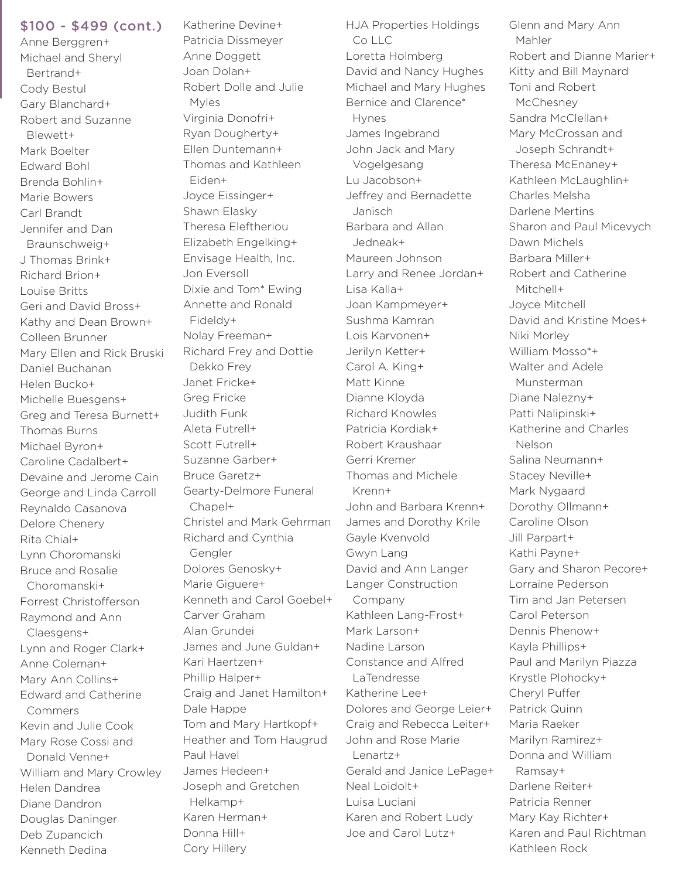\$100 - \$499 (cont.)

Anne Berggren+ Michael and Sheryl Bertrand+ Cody Bestul Gary Blanchard+ Robert and Suzanne Blewett+ Mark Boelter Edward Bohl Brenda Bohlin+ Marie Bowers Carl Brandt Jennifer and Dan Braunschweig+ J Thomas Brink+ Richard Brion+ Louise Britts Geri and David Bross+ Kathy and Dean Brown+ Colleen Brunner Mary Ellen and Rick Bruski Daniel Buchanan Helen Bucko+ Michelle Buesgens+ Greg and Teresa Burnett+ Thomas Burns Michael Byron+ Caroline Cadalbert+ Devaine and Jerome Cain George and Linda Carroll Reynaldo Casanova Delore Chenery Rita Chial+ Lynn Choromanski Bruce and Rosalie Choromanski+ Forrest Christofferson Raymond and Ann Claesgens+ Lynn and Roger Clark+ Anne Coleman+ Mary Ann Collins+ Edward and Catherine Commers Kevin and Julie Cook Mary Rose Cossi and Donald Venne+ William and Mary Crowley Helen Dandrea Diane Dandron Douglas Daninger Deb Zupancich

Kenneth Dedina

Katherine Devine+ Patricia Dissmeyer Anne Doggett Joan Dolan+ Robert Dolle and Julie Myles Virginia Donofri+ Ryan Dougherty+ Ellen Duntemann+ Thomas and Kathleen Eiden+ Joyce Eissinger+ Shawn Elasky Theresa Eleftheriou Elizabeth Engelking+ Envisage Health, Inc. Jon Eversoll Dixie and Tom\* Ewing Annette and Ronald Fideldy+ Nolay Freeman+ Richard Frey and Dottie Dekko Frey Janet Fricke+ Greg Fricke Judith Funk Aleta Futrell+ Scott Futrell+ Suzanne Garber+ Bruce Garetz+ Gearty-Delmore Funeral Chapel+ Christel and Mark Gehrman Richard and Cynthia Gengler Dolores Genosky+ Marie Giguere+ Kenneth and Carol Goebel+ Carver Graham Alan Grundei James and June Guldan+ Kari Haertzen+ Phillip Halper+ Craig and Janet Hamilton+ Dale Happe Tom and Mary Hartkopf+ Heather and Tom Haugrud Paul Havel James Hedeen+ Joseph and Gretchen Helkamp+ Karen Herman+ Donna Hill+

Cory Hillery

HJA Properties Holdings  $C_0 \sqcup C$ Loretta Holmberg David and Nancy Hughes Michael and Mary Hughes Bernice and Clarence\* Hynes James Ingebrand John Jack and Mary Vogelgesang Lu Jacobson+ Jeffrey and Bernadette Janisch Barbara and Allan Jedneak+ Maureen Johnson Larry and Renee Jordan+ Lisa Kalla+ Joan Kampmeyer+ Sushma Kamran Lois Karvonen+ Jerilyn Ketter+ Carol A. King+ Matt Kinne Dianne Kloyda Richard Knowles Patricia Kordiak+ Robert Kraushaar Gerri Kremer Thomas and Michele Krenn+ John and Barbara Krenn+ James and Dorothy Krile Gayle Kvenvold Gwyn Lang David and Ann Langer Langer Construction Company Kathleen Lang-Frost+ Mark Larson+ Nadine Larson Constance and Alfred LaTendresse Katherine Lee+ Dolores and George Leier+ Craig and Rebecca Leiter+ John and Rose Marie Lenartz+ Gerald and Janice LePage+ Neal Loidolt+ Luisa Luciani Karen and Robert Ludy Joe and Carol Lutz+

Glenn and Mary Ann Mahler Robert and Dianne Marier+ Kitty and Bill Maynard Toni and Robert **McChesney** Sandra McClellan+ Mary McCrossan and Joseph Schrandt+ Theresa McEnaney+ Kathleen McLaughlin+ Charles Melsha Darlene Mertins Sharon and Paul Micevych Dawn Michels Barbara Miller+ Robert and Catherine Mitchell+ Joyce Mitchell David and Kristine Moes+ Niki Morley William Mosso\*+ Walter and Adele Munsterman Diane Nalezny+ Patti Nalipinski+ Katherine and Charles Nelson Salina Neumann+ Stacey Neville+ Mark Nygaard Dorothy Ollmann+ Caroline Olson Jill Parpart+ Kathi Payne+ Gary and Sharon Pecore+ Lorraine Pederson Tim and Jan Petersen Carol Peterson Dennis Phenow+ Kayla Phillips+ Paul and Marilyn Piazza Krystle Plohocky+ Cheryl Puffer Patrick Quinn Maria Raeker Marilyn Ramirez+ Donna and William Ramsay+ Darlene Reiter+ Patricia Renner Mary Kay Richter+ Karen and Paul Richtman Kathleen Rock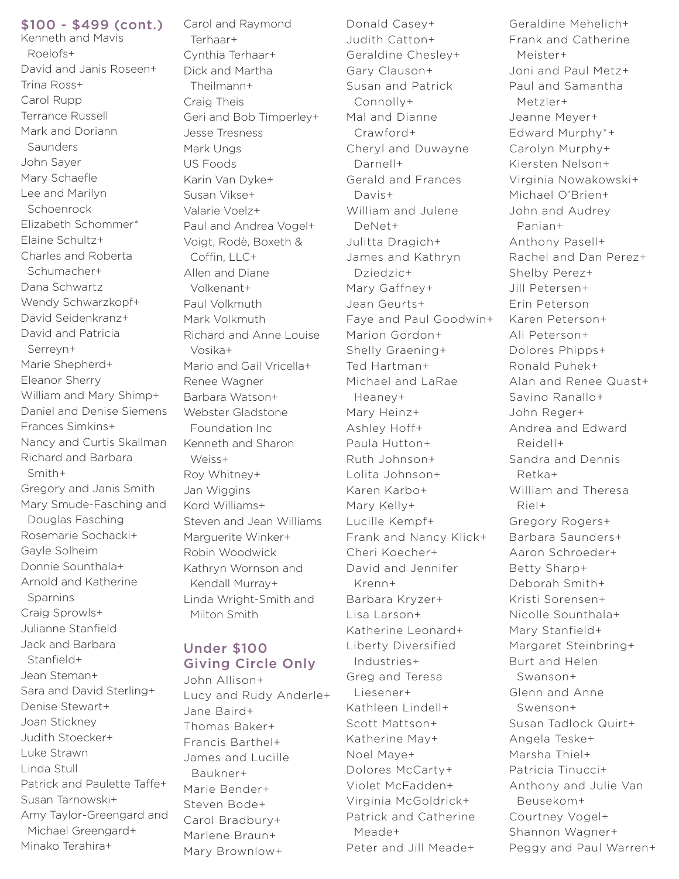#### \$100 - \$499 (cont.)

Kenneth and Mavis Roelofs+ David and Janis Roseen+ Trina Ross+ Carol Rupp Terrance Russell Mark and Doriann **Saunders** John Sayer Mary Schaefle Lee and Marilyn Schoenrock Elizabeth Schommer\* Elaine Schultz+ Charles and Roberta Schumacher+ Dana Schwartz Wendy Schwarzkopf+ David Seidenkranz+ David and Patricia Serreyn+ Marie Shepherd+ Eleanor Sherry William and Mary Shimp+ Daniel and Denise Siemens Frances Simkins+ Nancy and Curtis Skallman Richard and Barbara Smith+ Gregory and Janis Smith Mary Smude-Fasching and Douglas Fasching Rosemarie Sochacki+ Gayle Solheim Donnie Sounthala+ Arnold and Katherine Sparnins Craig Sprowls+ Julianne Stanfield Jack and Barbara Stanfield+ Jean Steman+ Sara and David Sterling+ Denise Stewart+ Joan Stickney Judith Stoecker+ Luke Strawn Linda Stull Patrick and Paulette Taffe+ Susan Tarnowski+ Amy Taylor-Greengard and Michael Greengard+

Minako Terahira+

Carol and Raymond Terhaar+ Cynthia Terhaar+ Dick and Martha Theilmann+ Craig Theis Geri and Bob Timperley+ Jesse Tresness Mark Ungs US Foods Karin Van Dyke+ Susan Vikse+ Valarie Voelz+ Paul and Andrea Vogel+ Voigt, Rodè, Boxeth & Coffin, LLC+ Allen and Diane Volkenant+ Paul Volkmuth Mark Volkmuth Richard and Anne Louise Vosika+ Mario and Gail Vricella+ Renee Wagner Barbara Watson+ Webster Gladstone Foundation Inc Kenneth and Sharon Weiss+ Roy Whitney+ Jan Wiggins Kord Williams+ Steven and Jean Williams Marguerite Winker+ Robin Woodwick Kathryn Wornson and Kendall Murray+ Linda Wright-Smith and Milton Smith

### Under \$100 Giving Circle Only

John Allison+ Lucy and Rudy Anderle+ Jane Baird+ Thomas Baker+ Francis Barthel+ James and Lucille Baukner+ Marie Bender+ Steven Bode+ Carol Bradbury+ Marlene Braun+ Mary Brownlow+

Donald Casey+ Judith Catton+ Geraldine Chesley+ Gary Clauson+ Susan and Patrick Connolly+ Mal and Dianne Crawford+ Cheryl and Duwayne Darnell+ Gerald and Frances Davis+ William and Julene DeNet+ Julitta Dragich+ James and Kathryn Dziedzic+ Mary Gaffney+ Jean Geurts+ Faye and Paul Goodwin+ Marion Gordon+ Shelly Graening+ Ted Hartman+ Michael and LaRae Heaney+ Mary Heinz+ Ashley Hoff+ Paula Hutton+ Ruth Johnson+ Lolita Johnson+ Karen Karbo+ Mary Kelly+ Lucille Kempf+ Frank and Nancy Klick+ Cheri Koecher+ David and Jennifer Krenn+ Barbara Kryzer+ Lisa Larson+ Katherine Leonard+ Liberty Diversified Industries+ Greg and Teresa Liesener+ Kathleen Lindell+ Scott Mattson+ Katherine May+ Noel Maye+ Dolores McCarty+ Violet McFadden+ Virginia McGoldrick+ Patrick and Catherine Meade+ Peter and Jill Meade+

Geraldine Mehelich+ Frank and Catherine Meister+ Joni and Paul Metz+ Paul and Samantha Metzler+ Jeanne Meyer+ Edward Murphy\*+ Carolyn Murphy+ Kiersten Nelson+ Virginia Nowakowski+ Michael O'Brien+ John and Audrey Panian+ Anthony Pasell+ Rachel and Dan Perez+ Shelby Perez+ Jill Petersen+ Erin Peterson Karen Peterson+ Ali Peterson+ Dolores Phipps+ Ronald Puhek+ Alan and Renee Quast+ Savino Ranallo+ John Reger+ Andrea and Edward Reidell+ Sandra and Dennis Retka+ William and Theresa Riel+ Gregory Rogers+ Barbara Saunders+ Aaron Schroeder+ Betty Sharp+ Deborah Smith+ Kristi Sorensen+ Nicolle Sounthala+ Mary Stanfield+ Margaret Steinbring+ Burt and Helen Swanson+ Glenn and Anne Swenson+ Susan Tadlock Quirt+ Angela Teske+ Marsha Thiel+ Patricia Tinucci+ Anthony and Julie Van Beusekom+ Courtney Vogel+ Shannon Wagner+ Peggy and Paul Warren+